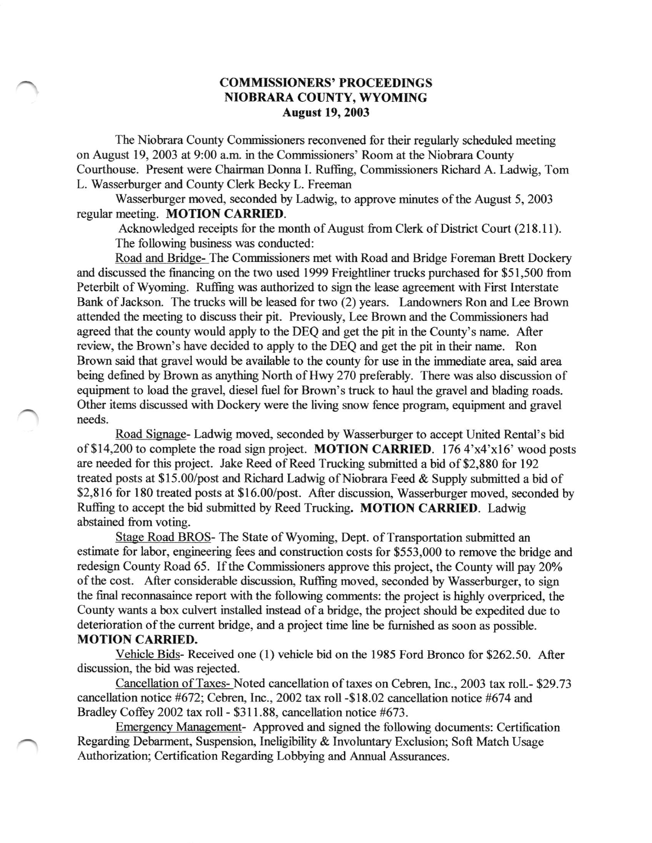## COMMISSIONERS' PROCEEDINGS NIOBRARA COUNTY, WYOMING August 19,2003

The Niobrara County Commissioners reconvened for their regularly scheduled meeting on August 19,2003 at 9:00 a.m. in the Commissioners' Room at the Niobrara County Courthouse. Present were Chairman Donna I. Ruffing, Commissioners Richard A. Ladwig, Tom L. Wasserburger and County Clerk Becky L. Freeman

Wasserburger moved, seconded by Ladwig, to approve minutes of the August 5, 2003 regular meeting. MOTION CARRIED.

Acknowledged receipts for the month of August from Clerk of District Court (218.11). The following business was conducted:

Road and Bridge- The Commissioners met with Road and Bridge Foreman Brett Dockery and discussed the financing on the two used 1999 Freightliner trucks purchased for \$51,500 from Peterbilt of Wyoming. Ruffing was authorized to sign the lease agreement with First Interstate Bank of Jackson. The trucks will be leased for two (2) years. Landowners Ron and Lee Brown attended the meeting to discuss their pit. Previously, Lee Brown and the Commissioners had agreed that the county would apply to the DEQ and get the pit in the County's name. After review, the Brown's have decided to apply to the DEQ and get the pit in their name. Ron Brown said that gravel would be available to the county for use in the immediate area, said area being defined by Brown as anything North of Hwy 270 preferably. There was also discussion of equipment to load the gravel, diesel fuel for Brown's truck to haul the gravel and blading roads. Other items discussed with Dockery were the living snow fence program, equipment and gravel needs.

Road Signage- Ladwig moved, seconded by Wasserburger to accept United Rental's bid of \$14,200 to complete the road sign project. MOTION CARRIED. 176 4'x4'xl6' wood posts are needed for this project. Jake Reed of Reed Trucking submitted a bid of \$2,880 for 192 treated posts at \$15.00/post and Richard Ladwig of Niobrara Feed  $&$  Supply submitted a bid of \$2,816 for 180 treated posts at \$16.00/post. After discussion, Wasserburger moved, seconded by Ruffing to accept the bid submitted by Reed Trucking. MOTION CARRIED. Ladwig abstained from voting.

Stage Road BROS- The State of Wyoming, Dept. of Transportation submitted an estimate for labor, engineering fees and construction costs for \$553,000 to remove the bridge and redesign County Road 65. If the Commissioners approve this project, the County will pay 20% of the cost. After considerable discussion, Ruffing moved, seconded by Wasserburger, to sign the final reconnasaince report with the following comments: the project is highly overpriced, the County wants a box culvert installed instead of a bridge, the project should be expedited due to deterioration of the current bridge, and a project time line be furnished as soon as possible. MOTION CARRIED.

Vehicle Bids- Received one (1) vehicle bid on the 1985 Ford Bronco for 9262.50. After discussion, the bid was rejected.

Cancellation of Taxes- Noted cancellation of taxes on Cebren, Inc., 2003 tax roll.- \$29.73 cancellation notice #672; Cebren, Inc., 2002 tax roll -\$18.02 cancellation notice #674 and Bradley Coffey 2002 tax roll - \$311.88, cancellation notice #673.

Emergency Manaeement- Approved and signed the following documents: Certification Regarding Debarment, Suspension, Ineligibility & Involuntary Exclusion; Soft Match Usage Authorization; Certification Regarding Lobbying and Annual Assurances.